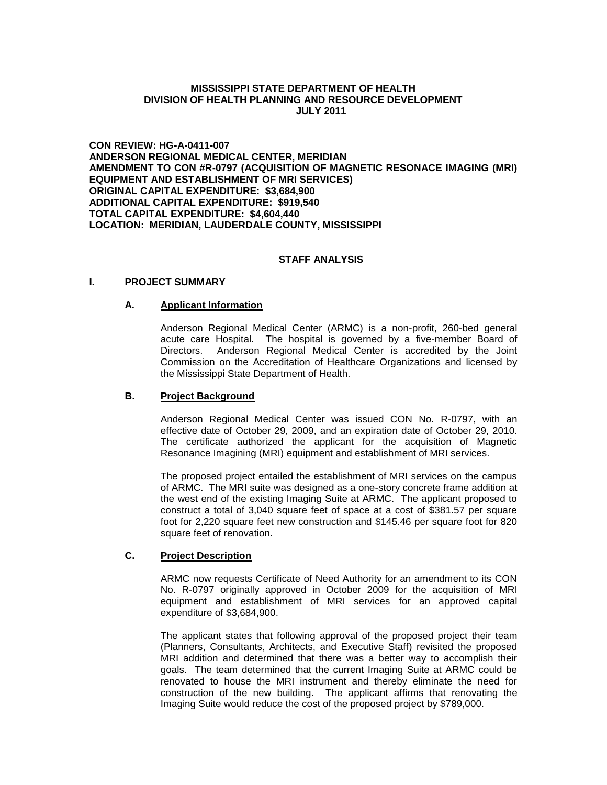#### **MISSISSIPPI STATE DEPARTMENT OF HEALTH DIVISION OF HEALTH PLANNING AND RESOURCE DEVELOPMENT JULY 2011**

**CON REVIEW: HG-A-0411-007 ANDERSON REGIONAL MEDICAL CENTER, MERIDIAN AMENDMENT TO CON #R-0797 (ACQUISITION OF MAGNETIC RESONACE IMAGING (MRI) EQUIPMENT AND ESTABLISHMENT OF MRI SERVICES) ORIGINAL CAPITAL EXPENDITURE: \$3,684,900 ADDITIONAL CAPITAL EXPENDITURE: \$919,540 TOTAL CAPITAL EXPENDITURE: \$4,604,440 LOCATION: MERIDIAN, LAUDERDALE COUNTY, MISSISSIPPI**

### **STAFF ANALYSIS**

### **I. PROJECT SUMMARY**

### **A. Applicant Information**

Anderson Regional Medical Center (ARMC) is a non-profit, 260-bed general acute care Hospital. The hospital is governed by a five-member Board of Directors. Anderson Regional Medical Center is accredited by the Joint Commission on the Accreditation of Healthcare Organizations and licensed by the Mississippi State Department of Health.

### **B. Project Background**

Anderson Regional Medical Center was issued CON No. R-0797, with an effective date of October 29, 2009, and an expiration date of October 29, 2010. The certificate authorized the applicant for the acquisition of Magnetic Resonance Imagining (MRI) equipment and establishment of MRI services.

The proposed project entailed the establishment of MRI services on the campus of ARMC. The MRI suite was designed as a one-story concrete frame addition at the west end of the existing Imaging Suite at ARMC. The applicant proposed to construct a total of 3,040 square feet of space at a cost of \$381.57 per square foot for 2,220 square feet new construction and \$145.46 per square foot for 820 square feet of renovation.

# **C. Project Description**

ARMC now requests Certificate of Need Authority for an amendment to its CON No. R-0797 originally approved in October 2009 for the acquisition of MRI equipment and establishment of MRI services for an approved capital expenditure of \$3,684,900.

The applicant states that following approval of the proposed project their team (Planners, Consultants, Architects, and Executive Staff) revisited the proposed MRI addition and determined that there was a better way to accomplish their goals. The team determined that the current Imaging Suite at ARMC could be renovated to house the MRI instrument and thereby eliminate the need for construction of the new building. The applicant affirms that renovating the Imaging Suite would reduce the cost of the proposed project by \$789,000.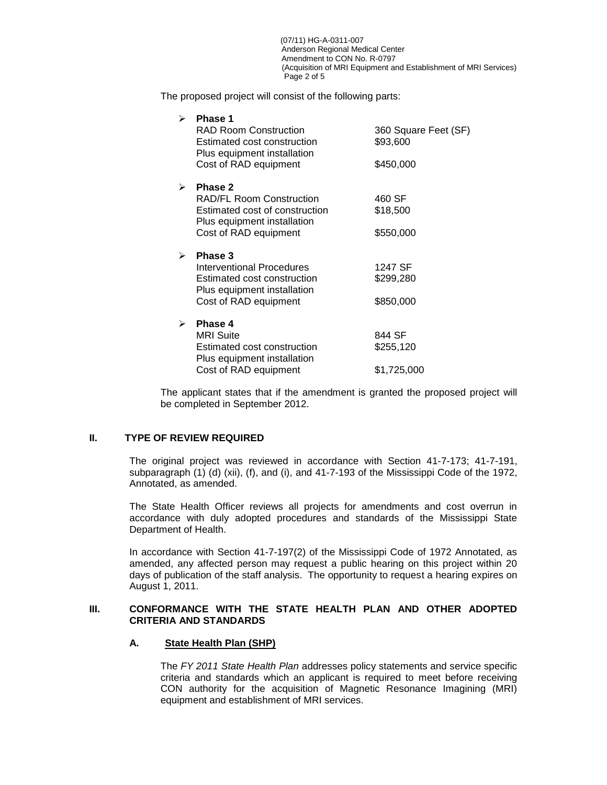(07/11) HG-A-0311-007 Anderson Regional Medical Center Amendment to CON No. R-0797 (Acquisition of MRI Equipment and Establishment of MRI Services) Page 2 of 5

The proposed project will consist of the following parts:

| ➤ | <b>Phase 1</b><br><b>RAD Room Construction</b><br>Estimated cost construction<br>Plus equipment installation<br>Cost of RAD equipment | 360 Square Feet (SF)<br>\$93,600<br>\$450,000 |
|---|---------------------------------------------------------------------------------------------------------------------------------------|-----------------------------------------------|
| ⋗ | Phase 2<br><b>RAD/FL Room Construction</b><br>Estimated cost of construction<br>Plus equipment installation                           | 460 SF<br>\$18,500                            |
|   | Cost of RAD equipment                                                                                                                 | \$550,000                                     |
| ⋗ | Phase 3                                                                                                                               |                                               |
|   | Interventional Procedures                                                                                                             | 1247 SF                                       |
|   | Estimated cost construction<br>Plus equipment installation                                                                            | \$299,280                                     |
|   | Cost of RAD equipment                                                                                                                 | \$850,000                                     |
| ↘ | Phase 4                                                                                                                               |                                               |
|   | <b>MRI</b> Suite                                                                                                                      | 844 SF                                        |
|   | Estimated cost construction<br>Plus equipment installation                                                                            | \$255,120                                     |
|   | Cost of RAD equipment                                                                                                                 | \$1,725,000                                   |

The applicant states that if the amendment is granted the proposed project will be completed in September 2012.

## **II. TYPE OF REVIEW REQUIRED**

The original project was reviewed in accordance with Section 41-7-173; 41-7-191, subparagraph (1) (d) (xii), (f), and (i), and 41-7-193 of the Mississippi Code of the 1972, Annotated, as amended.

The State Health Officer reviews all projects for amendments and cost overrun in accordance with duly adopted procedures and standards of the Mississippi State Department of Health.

In accordance with Section 41-7-197(2) of the Mississippi Code of 1972 Annotated, as amended, any affected person may request a public hearing on this project within 20 days of publication of the staff analysis. The opportunity to request a hearing expires on August 1, 2011.

### **III. CONFORMANCE WITH THE STATE HEALTH PLAN AND OTHER ADOPTED CRITERIA AND STANDARDS**

### **A. State Health Plan (SHP)**

The *FY 2011 State Health Plan* addresses policy statements and service specific criteria and standards which an applicant is required to meet before receiving CON authority for the acquisition of Magnetic Resonance Imagining (MRI) equipment and establishment of MRI services.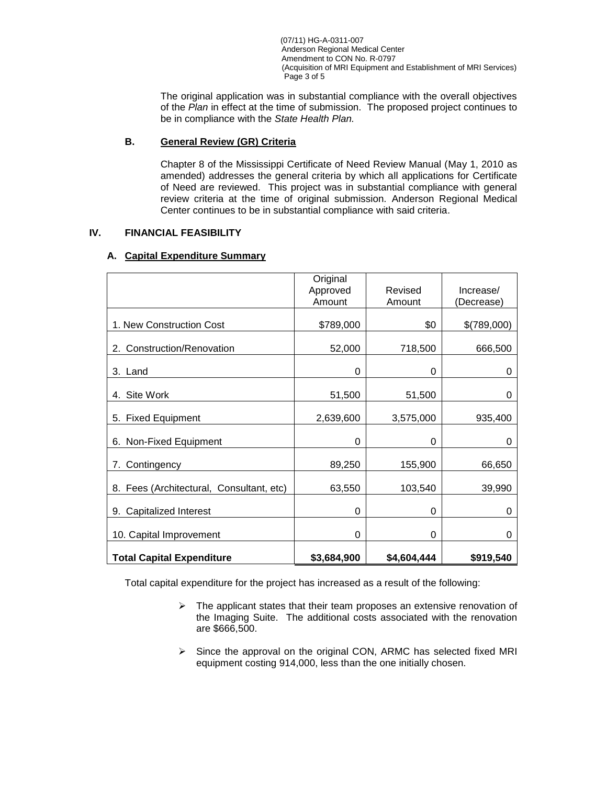(07/11) HG-A-0311-007 Anderson Regional Medical Center Amendment to CON No. R-0797 (Acquisition of MRI Equipment and Establishment of MRI Services) Page 3 of 5

The original application was in substantial compliance with the overall objectives of the *Plan* in effect at the time of submission. The proposed project continues to be in compliance with the *State Health Plan.*

## **B. General Review (GR) Criteria**

Chapter 8 of the Mississippi Certificate of Need Review Manual (May 1, 2010 as amended) addresses the general criteria by which all applications for Certificate of Need are reviewed. This project was in substantial compliance with general review criteria at the time of original submission. Anderson Regional Medical Center continues to be in substantial compliance with said criteria.

### **IV. FINANCIAL FEASIBILITY**

# **A. Capital Expenditure Summary**

|                                          | Original<br>Approved<br>Amount | Revised<br>Amount | Increase/<br>Decrease) |
|------------------------------------------|--------------------------------|-------------------|------------------------|
| 1. New Construction Cost                 | \$789,000                      | \$0               | \$(789,000)            |
| Construction/Renovation<br>2.            | 52,000                         | 718,500           | 666,500                |
| 3. Land                                  | 0                              | 0                 | 0                      |
| 4. Site Work                             | 51,500                         | 51,500            | 0                      |
| 5. Fixed Equipment                       | 2,639,600                      | 3,575,000         | 935,400                |
| 6. Non-Fixed Equipment                   | 0                              | 0                 | 0                      |
| Contingency<br>7.                        | 89,250                         | 155,900           | 66,650                 |
| 8. Fees (Architectural, Consultant, etc) | 63,550                         | 103,540           | 39,990                 |
| <b>Capitalized Interest</b><br>9.        | 0                              | 0                 | 0                      |
| 10. Capital Improvement                  | 0                              | 0                 | 0                      |
| <b>Total Capital Expenditure</b>         | \$3,684,900                    | \$4,604,444       | \$919,540              |

Total capital expenditure for the project has increased as a result of the following:

- $\triangleright$  The applicant states that their team proposes an extensive renovation of the Imaging Suite. The additional costs associated with the renovation are \$666,500.
- $\triangleright$  Since the approval on the original CON, ARMC has selected fixed MRI equipment costing 914,000, less than the one initially chosen.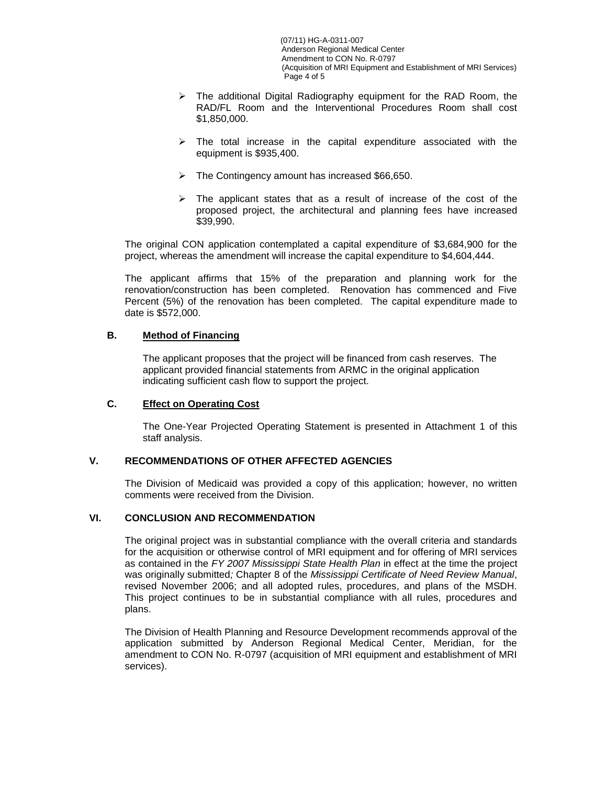(07/11) HG-A-0311-007 Anderson Regional Medical Center Amendment to CON No. R-0797 (Acquisition of MRI Equipment and Establishment of MRI Services) Page 4 of 5

- $\triangleright$  The additional Digital Radiography equipment for the RAD Room, the RAD/FL Room and the Interventional Procedures Room shall cost \$1,850,000.
- $\triangleright$  The total increase in the capital expenditure associated with the equipment is \$935,400.
- $\triangleright$  The Contingency amount has increased \$66,650.
- $\triangleright$  The applicant states that as a result of increase of the cost of the proposed project, the architectural and planning fees have increased \$39,990.

The original CON application contemplated a capital expenditure of \$3,684,900 for the project, whereas the amendment will increase the capital expenditure to \$4,604,444.

The applicant affirms that 15% of the preparation and planning work for the renovation/construction has been completed. Renovation has commenced and Five Percent (5%) of the renovation has been completed. The capital expenditure made to date is \$572,000.

# **B. Method of Financing**

The applicant proposes that the project will be financed from cash reserves. The applicant provided financial statements from ARMC in the original application indicating sufficient cash flow to support the project.

# **C. Effect on Operating Cost**

The One-Year Projected Operating Statement is presented in Attachment 1 of this staff analysis.

# **V. RECOMMENDATIONS OF OTHER AFFECTED AGENCIES**

The Division of Medicaid was provided a copy of this application; however, no written comments were received from the Division.

# **VI. CONCLUSION AND RECOMMENDATION**

The original project was in substantial compliance with the overall criteria and standards for the acquisition or otherwise control of MRI equipment and for offering of MRI services as contained in the *FY 2007 Mississippi State Health Plan* in effect at the time the project was originally submitted*;* Chapter 8 of the *Mississippi Certificate of Need Review Manual*, revised November 2006; and all adopted rules, procedures, and plans of the MSDH. This project continues to be in substantial compliance with all rules, procedures and plans.

The Division of Health Planning and Resource Development recommends approval of the application submitted by Anderson Regional Medical Center, Meridian, for the amendment to CON No. R-0797 (acquisition of MRI equipment and establishment of MRI services).